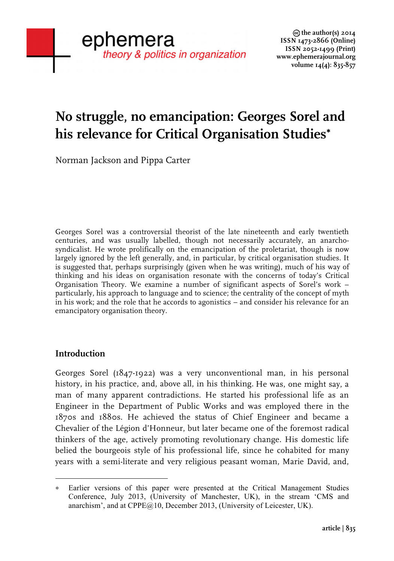# **No struggle, no emancipation: Georges Sorel and his relevance for Critical Organisation Studies**<sup>∗</sup>

Norman Jackson and Pippa Carter

Georges Sorel was a controversial theorist of the late nineteenth and early twentieth centuries, and was usually labelled, though not necessarily accurately, an anarchosyndicalist. He wrote prolifically on the emancipation of the proletariat, though is now largely ignored by the left generally, and, in particular, by critical organisation studies. It is suggested that, perhaps surprisingly (given when he was writing), much of his way of thinking and his ideas on organisation resonate with the concerns of today's Critical Organisation Theory. We examine a number of significant aspects of Sorel's work – particularly, his approach to language and to science; the centrality of the concept of myth in his work; and the role that he accords to agonistics – and consider his relevance for an emancipatory organisation theory.

# **Introduction**

Georges Sorel (1847-1922) was a very unconventional man, in his personal history, in his practice, and, above all, in his thinking. He was, one might say, a man of many apparent contradictions. He started his professional life as an Engineer in the Department of Public Works and was employed there in the 1870s and 1880s. He achieved the status of Chief Engineer and became a Chevalier of the Légion d'Honneur, but later became one of the foremost radical thinkers of the age, actively promoting revolutionary change. His domestic life belied the bourgeois style of his professional life, since he cohabited for many years with a semi-literate and very religious peasant woman, Marie David, and,

 Earlier versions of this paper were presented at the Critical Management Studies Conference, July 2013, (University of Manchester, UK), in the stream 'CMS and anarchism', and at CPPE@10, December 2013, (University of Leicester, UK).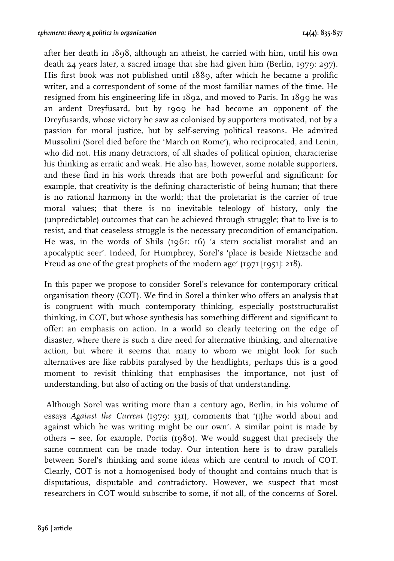after her death in 1898, although an atheist, he carried with him, until his own death 24 years later, a sacred image that she had given him (Berlin, 1979: 297). His first book was not published until 1889, after which he became a prolific writer, and a correspondent of some of the most familiar names of the time. He resigned from his engineering life in 1892, and moved to Paris. In 1899 he was an ardent Dreyfusard, but by 1909 he had become an opponent of the Dreyfusards, whose victory he saw as colonised by supporters motivated, not by a passion for moral justice, but by self-serving political reasons. He admired Mussolini (Sorel died before the 'March on Rome'), who reciprocated, and Lenin, who did not. His many detractors, of all shades of political opinion, characterise his thinking as erratic and weak. He also has, however, some notable supporters, and these find in his work threads that are both powerful and significant: for example, that creativity is the defining characteristic of being human; that there is no rational harmony in the world; that the proletariat is the carrier of true moral values; that there is no inevitable teleology of history, only the (unpredictable) outcomes that can be achieved through struggle; that to live is to resist, and that ceaseless struggle is the necessary precondition of emancipation. He was, in the words of Shils (1961: 16) 'a stern socialist moralist and an apocalyptic seer'. Indeed, for Humphrey, Sorel's 'place is beside Nietzsche and Freud as one of the great prophets of the modern age' (1971 [1951]: 218).

In this paper we propose to consider Sorel's relevance for contemporary critical organisation theory (COT). We find in Sorel a thinker who offers an analysis that is congruent with much contemporary thinking, especially poststructuralist thinking, in COT, but whose synthesis has something different and significant to offer: an emphasis on action. In a world so clearly teetering on the edge of disaster, where there is such a dire need for alternative thinking, and alternative action, but where it seems that many to whom we might look for such alternatives are like rabbits paralysed by the headlights, perhaps this is a good moment to revisit thinking that emphasises the importance, not just of understanding, but also of acting on the basis of that understanding.

Although Sorel was writing more than a century ago, Berlin, in his volume of essays *Against the Current* (1979: 331), comments that '(t)he world about and against which he was writing might be our own'. A similar point is made by others – see, for example, Portis (1980). We would suggest that precisely the same comment can be made today. Our intention here is to draw parallels between Sorel's thinking and some ideas which are central to much of COT. Clearly, COT is not a homogenised body of thought and contains much that is disputatious, disputable and contradictory. However, we suspect that most researchers in COT would subscribe to some, if not all, of the concerns of Sorel.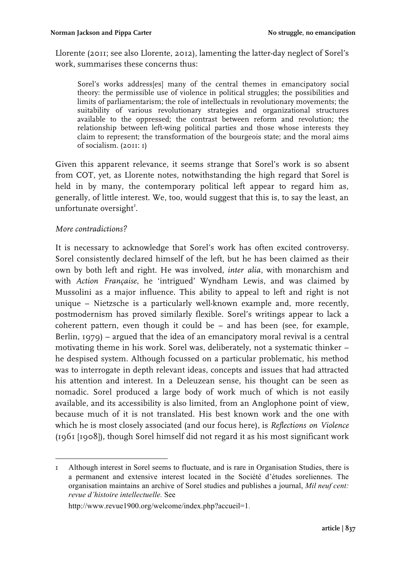Llorente (2011; see also Llorente, 2012), lamenting the latter-day neglect of Sorel's work, summarises these concerns thus:

Sorel's works address[es] many of the central themes in emancipatory social theory: the permissible use of violence in political struggles; the possibilities and limits of parliamentarism; the role of intellectuals in revolutionary movements; the suitability of various revolutionary strategies and organizational structures available to the oppressed; the contrast between reform and revolution; the relationship between left-wing political parties and those whose interests they claim to represent; the transformation of the bourgeois state; and the moral aims of socialism. (2011: 1)

Given this apparent relevance, it seems strange that Sorel's work is so absent from COT, yet, as Llorente notes, notwithstanding the high regard that Sorel is held in by many, the contemporary political left appear to regard him as, generally, of little interest. We, too, would suggest that this is, to say the least, an unfortunate oversight<sup>1</sup>.

#### *More contradictions?*

It is necessary to acknowledge that Sorel's work has often excited controversy. Sorel consistently declared himself of the left, but he has been claimed as their own by both left and right. He was involved, *inter alia*, with monarchism and with *Action Française*, he 'intrigued' Wyndham Lewis, and was claimed by Mussolini as a major influence. This ability to appeal to left and right is not unique – Nietzsche is a particularly well-known example and, more recently, postmodernism has proved similarly flexible. Sorel's writings appear to lack a coherent pattern, even though it could be – and has been (see, for example, Berlin, 1979) – argued that the idea of an emancipatory moral revival is a central motivating theme in his work. Sorel was, deliberately, not a systematic thinker – he despised system. Although focussed on a particular problematic, his method was to interrogate in depth relevant ideas, concepts and issues that had attracted his attention and interest. In a Deleuzean sense, his thought can be seen as nomadic. Sorel produced a large body of work much of which is not easily available, and its accessibility is also limited, from an Anglophone point of view, because much of it is not translated. His best known work and the one with which he is most closely associated (and our focus here), is *Reflections on Violence* (1961 [1908]), though Sorel himself did not regard it as his most significant work

<sup>&</sup>lt;u> Alexandria de la contrada de la contrada de la contrada de la contrada de la contrada de la contrada de la c</u> 1 Although interest in Sorel seems to fluctuate, and is rare in Organisation Studies, there is a permanent and extensive interest located in the Société d'études soreliennes. The organisation maintains an archive of Sorel studies and publishes a journal, *Mil neuf cent: revue d'histoire intellectuelle.* See

http://www.revue1900.org/welcome/index.php?accueil=1.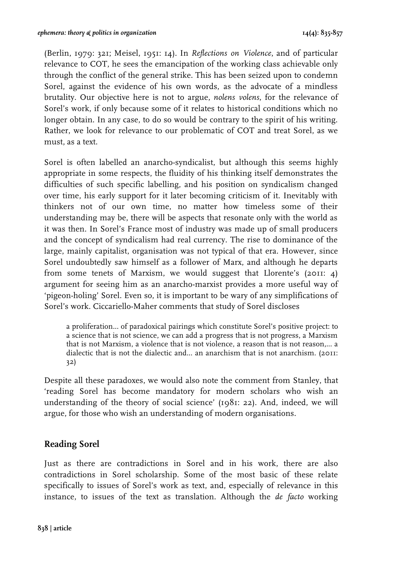(Berlin, 1979: 321; Meisel, 1951: 14). In *Reflections on Violence*, and of particular relevance to COT, he sees the emancipation of the working class achievable only through the conflict of the general strike. This has been seized upon to condemn Sorel, against the evidence of his own words, as the advocate of a mindless brutality. Our objective here is not to argue, *nolens volens*, for the relevance of Sorel's work, if only because some of it relates to historical conditions which no longer obtain. In any case, to do so would be contrary to the spirit of his writing. Rather, we look for relevance to our problematic of COT and treat Sorel, as we must, as a text.

Sorel is often labelled an anarcho-syndicalist, but although this seems highly appropriate in some respects, the fluidity of his thinking itself demonstrates the difficulties of such specific labelling, and his position on syndicalism changed over time, his early support for it later becoming criticism of it. Inevitably with thinkers not of our own time, no matter how timeless some of their understanding may be, there will be aspects that resonate only with the world as it was then. In Sorel's France most of industry was made up of small producers and the concept of syndicalism had real currency. The rise to dominance of the large, mainly capitalist, organisation was not typical of that era. However, since Sorel undoubtedly saw himself as a follower of Marx, and although he departs from some tenets of Marxism, we would suggest that Llorente's (2011: 4) argument for seeing him as an anarcho-marxist provides a more useful way of 'pigeon-holing' Sorel. Even so, it is important to be wary of any simplifications of Sorel's work. Ciccariello-Maher comments that study of Sorel discloses

a proliferation... of paradoxical pairings which constitute Sorel's positive project: to a science that is not science, we can add a progress that is not progress, a Marxism that is not Marxism, a violence that is not violence, a reason that is not reason,... a dialectic that is not the dialectic and... an anarchism that is not anarchism. (2011: 32)

Despite all these paradoxes, we would also note the comment from Stanley, that 'reading Sorel has become mandatory for modern scholars who wish an understanding of the theory of social science' (1981: 22). And, indeed, we will argue, for those who wish an understanding of modern organisations.

# **Reading Sorel**

Just as there are contradictions in Sorel and in his work, there are also contradictions in Sorel scholarship. Some of the most basic of these relate specifically to issues of Sorel's work as text, and, especially of relevance in this instance, to issues of the text as translation. Although the *de facto* working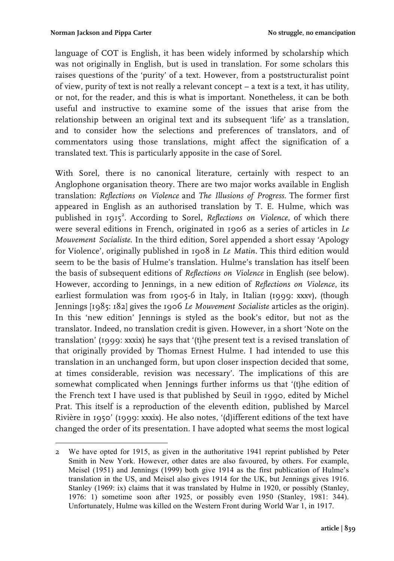language of COT is English, it has been widely informed by scholarship which was not originally in English, but is used in translation. For some scholars this raises questions of the 'purity' of a text. However, from a poststructuralist point of view, purity of text is not really a relevant concept – a text is a text, it has utility, or not, for the reader, and this is what is important. Nonetheless, it can be both useful and instructive to examine some of the issues that arise from the relationship between an original text and its subsequent 'life' as a translation, and to consider how the selections and preferences of translators, and of commentators using those translations, might affect the signification of a translated text. This is particularly apposite in the case of Sorel.

With Sorel, there is no canonical literature, certainly with respect to an Anglophone organisation theory. There are two major works available in English translation: *Reflections on Violence* and *The Illusions of Progress*. The former first appeared in English as an authorised translation by T. E. Hulme, which was published in 1915<sup>2</sup>. According to Sorel, *Reflections on Violence*, of which there were several editions in French, originated in 1906 as a series of articles in *Le Mouvement Socialiste*. In the third edition, Sorel appended a short essay 'Apology for Violence', originally published in 1908 in *Le Matin*. This third edition would seem to be the basis of Hulme's translation. Hulme's translation has itself been the basis of subsequent editions of *Reflections on Violence* in English (see below). However, according to Jennings, in a new edition of *Reflections on Violence*, its earliest formulation was from 1905-6 in Italy, in Italian (1999: xxxv), (though Jennings [1985: 182] gives the 1906 *Le Mouvement Socialiste* articles as the origin). In this 'new edition' Jennings is styled as the book's editor, but not as the translator. Indeed, no translation credit is given. However, in a short 'Note on the translation' (1999: xxxix) he says that '(t)he present text is a revised translation of that originally provided by Thomas Ernest Hulme. I had intended to use this translation in an unchanged form, but upon closer inspection decided that some, at times considerable, revision was necessary'. The implications of this are somewhat complicated when Jennings further informs us that '(t)he edition of the French text I have used is that published by Seuil in 1990, edited by Michel Prat. This itself is a reproduction of the eleventh edition, published by Marcel Rivière in 1950' (1999: xxxix). He also notes, '(d)ifferent editions of the text have changed the order of its presentation. I have adopted what seems the most logical

 2 We have opted for 1915, as given in the authoritative 1941 reprint published by Peter Smith in New York. However, other dates are also favoured, by others. For example, Meisel (1951) and Jennings (1999) both give 1914 as the first publication of Hulme's translation in the US, and Meisel also gives 1914 for the UK, but Jennings gives 1916. Stanley (1969: ix) claims that it was translated by Hulme in 1920, or possibly (Stanley, 1976: 1) sometime soon after 1925, or possibly even 1950 (Stanley, 1981: 344). Unfortunately, Hulme was killed on the Western Front during World War 1, in 1917.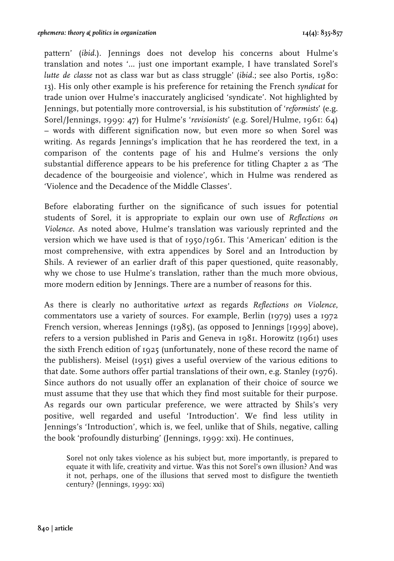pattern' (*ibid.*). Jennings does not develop his concerns about Hulme's translation and notes '… just one important example, I have translated Sorel's *lutte de classe* not as class war but as class struggle' (*ibid.*; see also Portis, 1980: 13). His only other example is his preference for retaining the French *syndicat* for trade union over Hulme's inaccurately anglicised 'syndicate'. Not highlighted by Jennings, but potentially more controversial, is his substitution of '*reformists*' (e.g. Sorel/Jennings, 1999: 47) for Hulme's '*revisionists*' (e.g. Sorel/Hulme, 1961: 64) – words with different signification now, but even more so when Sorel was writing. As regards Jennings's implication that he has reordered the text, in a comparison of the contents page of his and Hulme's versions the only substantial difference appears to be his preference for titling Chapter 2 as 'The decadence of the bourgeoisie and violence', which in Hulme was rendered as 'Violence and the Decadence of the Middle Classes'.

Before elaborating further on the significance of such issues for potential students of Sorel, it is appropriate to explain our own use of *Reflections on Violence*. As noted above, Hulme's translation was variously reprinted and the version which we have used is that of 1950/1961. This 'American' edition is the most comprehensive, with extra appendices by Sorel and an Introduction by Shils. A reviewer of an earlier draft of this paper questioned, quite reasonably, why we chose to use Hulme's translation, rather than the much more obvious, more modern edition by Jennings. There are a number of reasons for this.

As there is clearly no authoritative *urtext* as regards *Reflections on Violence*, commentators use a variety of sources. For example, Berlin (1979) uses a 1972 French version, whereas Jennings (1985), (as opposed to Jennings [1999] above), refers to a version published in Paris and Geneva in 1981. Horowitz (1961) uses the sixth French edition of 1925 (unfortunately, none of these record the name of the publishers). Meisel (1951) gives a useful overview of the various editions to that date. Some authors offer partial translations of their own, e.g. Stanley (1976). Since authors do not usually offer an explanation of their choice of source we must assume that they use that which they find most suitable for their purpose. As regards our own particular preference, we were attracted by Shils's very positive, well regarded and useful 'Introduction'. We find less utility in Jennings's 'Introduction', which is, we feel, unlike that of Shils, negative, calling the book 'profoundly disturbing' (Jennings, 1999: xxi). He continues,

Sorel not only takes violence as his subject but, more importantly, is prepared to equate it with life, creativity and virtue. Was this not Sorel's own illusion? And was it not, perhaps, one of the illusions that served most to disfigure the twentieth century? (Jennings, 1999: xxi)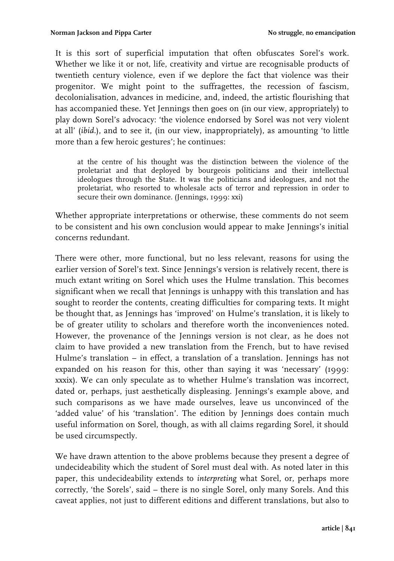It is this sort of superficial imputation that often obfuscates Sorel's work. Whether we like it or not, life, creativity and virtue are recognisable products of twentieth century violence, even if we deplore the fact that violence was their progenitor. We might point to the suffragettes, the recession of fascism, decolonialisation, advances in medicine, and, indeed, the artistic flourishing that has accompanied these. Yet Jennings then goes on (in our view, appropriately) to play down Sorel's advocacy: 'the violence endorsed by Sorel was not very violent at all' (*ibid.*), and to see it, (in our view, inappropriately), as amounting 'to little more than a few heroic gestures'; he continues:

at the centre of his thought was the distinction between the violence of the proletariat and that deployed by bourgeois politicians and their intellectual ideologues through the State. It was the politicians and ideologues, and not the proletariat, who resorted to wholesale acts of terror and repression in order to secure their own dominance. (Jennings, 1999: xxi)

Whether appropriate interpretations or otherwise, these comments do not seem to be consistent and his own conclusion would appear to make Jennings's initial concerns redundant.

There were other, more functional, but no less relevant, reasons for using the earlier version of Sorel's text. Since Jennings's version is relatively recent, there is much extant writing on Sorel which uses the Hulme translation. This becomes significant when we recall that Jennings is unhappy with this translation and has sought to reorder the contents, creating difficulties for comparing texts. It might be thought that, as Jennings has 'improved' on Hulme's translation, it is likely to be of greater utility to scholars and therefore worth the inconveniences noted. However, the provenance of the Jennings version is not clear, as he does not claim to have provided a new translation from the French, but to have revised Hulme's translation – in effect, a translation of a translation. Jennings has not expanded on his reason for this, other than saying it was 'necessary' (1999: xxxix). We can only speculate as to whether Hulme's translation was incorrect, dated or, perhaps, just aesthetically displeasing. Jennings's example above, and such comparisons as we have made ourselves, leave us unconvinced of the 'added value' of his 'translation'. The edition by Jennings does contain much useful information on Sorel, though, as with all claims regarding Sorel, it should be used circumspectly.

We have drawn attention to the above problems because they present a degree of undecideability which the student of Sorel must deal with. As noted later in this paper, this undecideability extends to *interpreting* what Sorel, or, perhaps more correctly, 'the Sorels', said – there is no single Sorel, only many Sorels. And this caveat applies, not just to different editions and different translations, but also to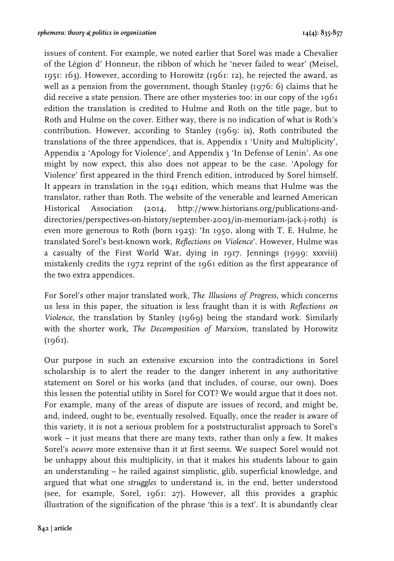issues of content. For example, we noted earlier that Sorel was made a Chevalier of the Légion d' Honneur, the ribbon of which he 'never failed to wear' (Meisel, 1951: 163). However, according to Horowitz (1961: 12), he rejected the award, as well as a pension from the government, though Stanley (1976: 6) claims that he did receive a state pension. There are other mysteries too: in our copy of the 1961 edition the translation is credited to Hulme and Roth on the title page, but to Roth and Hulme on the cover. Either way, there is no indication of what is Roth's contribution. However, according to Stanley (1969: ix), Roth contributed the translations of the three appendices, that is, Appendix 1 'Unity and Multiplicity', Appendix 2 'Apology for Violence', and Appendix 3 'In Defense of Lenin'. As one might by now expect, this also does not appear to be the case. 'Apology for Violence' first appeared in the third French edition, introduced by Sorel himself. It appears in translation in the  $1941$  edition, which means that Hulme was the translator, rather than Roth. The website of the venerable and learned American Historical Association (2014, http://www.historians.org/publications-anddirectories/perspectives-on-history/september-2003/in-memoriam-jack-j-roth) is even more generous to Roth (born 1925): 'In 1950, along with T. E. Hulme, he translated Sorel's best-known work, *Reflections on Violence*'. However, Hulme was a casualty of the First World War, dying in 1917. Jennings (1999: xxxviii) mistakenly credits the 1972 reprint of the 1961 edition as the first appearance of the two extra appendices.

For Sorel's other major translated work, *The Illusions of Progress*, which concerns us less in this paper, the situation is less fraught than it is with *Reflections on Violence*, the translation by Stanley (1969) being the standard work. Similarly with the shorter work, *The Decomposition of Marxism*, translated by Horowitz  $(1961)$ .

Our purpose in such an extensive excursion into the contradictions in Sorel scholarship is to alert the reader to the danger inherent in *any* authoritative statement on Sorel or his works (and that includes, of course, our own). Does this lessen the potential utility in Sorel for COT? We would argue that it does not. For example, many of the areas of dispute are issues of record, and might be, and, indeed, ought to be, eventually resolved. Equally, once the reader is aware of this variety, it is not a serious problem for a poststructuralist approach to Sorel's work – it just means that there are many texts, rather than only a few. It makes Sorel's *oeuvre* more extensive than it at first seems. We suspect Sorel would not be unhappy about this multiplicity, in that it makes his students labour to gain an understanding – he railed against simplistic, glib, superficial knowledge, and argued that what one *struggles* to understand is, in the end, better understood (see, for example, Sorel, 1961: 27). However, all this provides a graphic illustration of the signification of the phrase 'this is a text'. It is abundantly clear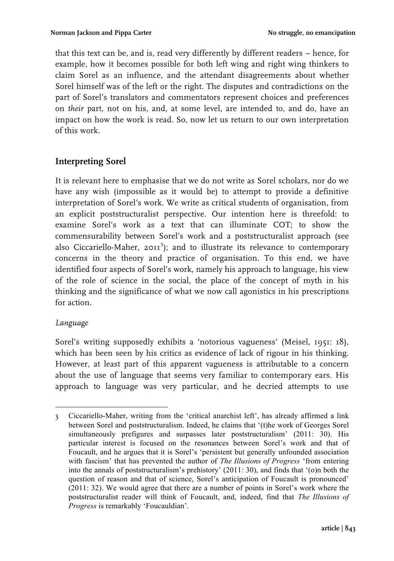that this text can be, and is, read very differently by different readers – hence, for example, how it becomes possible for both left wing and right wing thinkers to claim Sorel as an influence, and the attendant disagreements about whether Sorel himself was of the left or the right. The disputes and contradictions on the part of Sorel's translators and commentators represent choices and preferences on *their* part, not on his, and, at some level, are intended to, and do, have an impact on how the work is read. So, now let us return to our own interpretation of this work.

# **Interpreting Sorel**

It is relevant here to emphasise that we do not write as Sorel scholars, nor do we have any wish (impossible as it would be) to attempt to provide a definitive interpretation of Sorel's work. We write as critical students of organisation, from an explicit poststructuralist perspective. Our intention here is threefold: to examine Sorel's work as a text that can illuminate COT; to show the commensurability between Sorel's work and a poststructuralist approach (see also Ciccariello-Maher,  $20II^3$ ); and to illustrate its relevance to contemporary concerns in the theory and practice of organisation. To this end, we have identified four aspects of Sorel's work, namely his approach to language, his view of the role of science in the social, the place of the concept of myth in his thinking and the significance of what we now call agonistics in his prescriptions for action.

# *Language*

Sorel's writing supposedly exhibits a 'notorious vagueness' (Meisel, 1951: 18), which has been seen by his critics as evidence of lack of rigour in his thinking. However, at least part of this apparent vagueness is attributable to a concern about the use of language that seems very familiar to contemporary ears. His approach to language was very particular, and he decried attempts to use

<sup>&</sup>lt;u> Alexandria de Alexandria de Alexandria de Alexandria de Alexandria de Alexandria de Alexandria de Alexandria </u> 3 Ciccariello-Maher, writing from the 'critical anarchist left', has already affirmed a link between Sorel and poststructuralism. Indeed, he claims that '(t)he work of Georges Sorel simultaneously prefigures and surpasses later poststructuralism' (2011: 30). His particular interest is focused on the resonances between Sorel's work and that of Foucault, and he argues that it is Sorel's 'persistent but generally unfounded association with fascism' that has prevented the author of *The Illusions of Progress* 'from entering into the annals of poststructuralism's prehistory' (2011: 30), and finds that '(o)n both the question of reason and that of science, Sorel's anticipation of Foucault is pronounced' (2011: 32). We would agree that there are a number of points in Sorel's work where the poststructuralist reader will think of Foucault, and, indeed, find that *The Illusions of Progress* is remarkably 'Foucauldian'.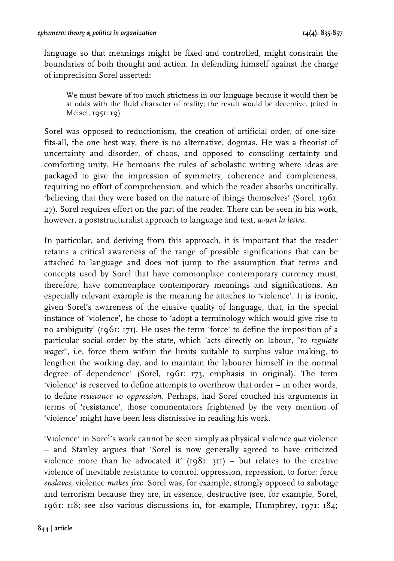language so that meanings might be fixed and controlled, might constrain the boundaries of both thought and action. In defending himself against the charge of imprecision Sorel asserted:

We must beware of too much strictness in our language because it would then be at odds with the fluid character of reality; the result would be deceptive. (cited in Meisel, 1951: 19)

Sorel was opposed to reductionism, the creation of artificial order, of one-sizefits-all, the one best way, there is no alternative, dogmas. He was a theorist of uncertainty and disorder, of chaos, and opposed to consoling certainty and comforting unity. He bemoans the rules of scholastic writing where ideas are packaged to give the impression of symmetry, coherence and completeness, requiring no effort of comprehension, and which the reader absorbs uncritically, 'believing that they were based on the nature of things themselves' (Sorel, 1961: 27). Sorel requires effort on the part of the reader. There can be seen in his work, however, a poststructuralist approach to language and text, *avant la lettre*.

In particular, and deriving from this approach, it is important that the reader retains a critical awareness of the range of possible significations that can be attached to language and does not jump to the assumption that terms and concepts used by Sorel that have commonplace contemporary currency must, therefore, have commonplace contemporary meanings and significations. An especially relevant example is the meaning he attaches to 'violence'. It is ironic, given Sorel's awareness of the elusive quality of language, that, in the special instance of 'violence', he chose to 'adopt a terminology which would give rise to no ambiguity' (1961: 171). He uses the term 'force' to define the imposition of a particular social order by the state, which 'acts directly on labour, "*to regulate wages*", i.e. force them within the limits suitable to surplus value making, to lengthen the working day, and to maintain the labourer himself in the normal degree of dependence' (Sorel, 1961: 173, emphasis in original). The term 'violence' is reserved to define attempts to overthrow that order – in other words, to define *resistance to oppression*. Perhaps, had Sorel couched his arguments in terms of 'resistance', those commentators frightened by the very mention of 'violence' might have been less dismissive in reading his work.

'Violence' in Sorel's work cannot be seen simply as physical violence *qua* violence – and Stanley argues that 'Sorel is now generally agreed to have criticized violence more than he advocated it'  $(1981: 311)$  – but relates to the creative violence of inevitable resistance to control, oppression, repression, to force: force *enslaves*, violence *makes free*. Sorel was, for example, strongly opposed to sabotage and terrorism because they are, in essence, destructive (see, for example, Sorel, 1961: 118; see also various discussions in, for example, Humphrey, 1971: 184;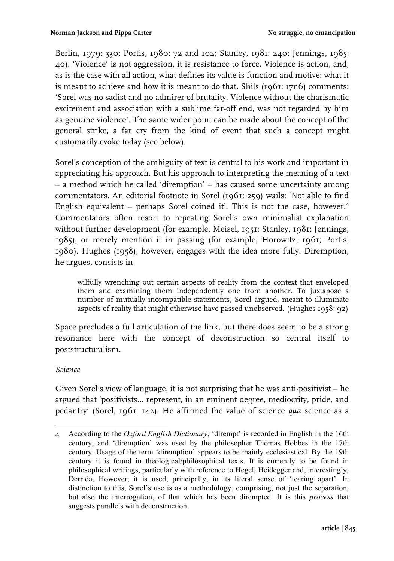Berlin, 1979: 330; Portis, 1980: 72 and 102; Stanley, 1981: 240; Jennings, 1985: 40). 'Violence' is not aggression, it is resistance to force. Violence is action, and, as is the case with all action, what defines its value is function and motive: what it is meant to achieve and how it is meant to do that. Shils (1961: 17n6) comments: 'Sorel was no sadist and no admirer of brutality. Violence without the charismatic excitement and association with a sublime far-off end, was not regarded by him as genuine violence'. The same wider point can be made about the concept of the general strike, a far cry from the kind of event that such a concept might customarily evoke today (see below).

Sorel's conception of the ambiguity of text is central to his work and important in appreciating his approach. But his approach to interpreting the meaning of a text – a method which he called 'diremption' – has caused some uncertainty among commentators. An editorial footnote in Sorel (1961: 259) wails: 'Not able to find English equivalent – perhaps Sorel coined it'. This is not the case, however.<sup>4</sup> Commentators often resort to repeating Sorel's own minimalist explanation without further development (for example, Meisel, 1951; Stanley, 1981; Jennings, 1985), or merely mention it in passing (for example, Horowitz, 1961; Portis, 1980). Hughes (1958), however, engages with the idea more fully. Diremption, he argues, consists in

wilfully wrenching out certain aspects of reality from the context that enveloped them and examining them independently one from another. To juxtapose a number of mutually incompatible statements, Sorel argued, meant to illuminate aspects of reality that might otherwise have passed unobserved. (Hughes 1958: 92)

Space precludes a full articulation of the link, but there does seem to be a strong resonance here with the concept of deconstruction so central itself to poststructuralism.

#### *Science*

Given Sorel's view of language, it is not surprising that he was anti-positivist – he argued that 'positivists... represent, in an eminent degree, mediocrity, pride, and pedantry' (Sorel, 1961: 142). He affirmed the value of science *qua* science as a

 4 According to the *Oxford English Dictionary*, 'dirempt' is recorded in English in the 16th century, and 'diremption' was used by the philosopher Thomas Hobbes in the 17th century. Usage of the term 'diremption' appears to be mainly ecclesiastical. By the 19th century it is found in theological/philosophical texts. It is currently to be found in philosophical writings, particularly with reference to Hegel, Heidegger and, interestingly, Derrida. However, it is used, principally, in its literal sense of 'tearing apart'. In distinction to this, Sorel's use is as a methodology, comprising, not just the separation, but also the interrogation, of that which has been dirempted. It is this *process* that suggests parallels with deconstruction.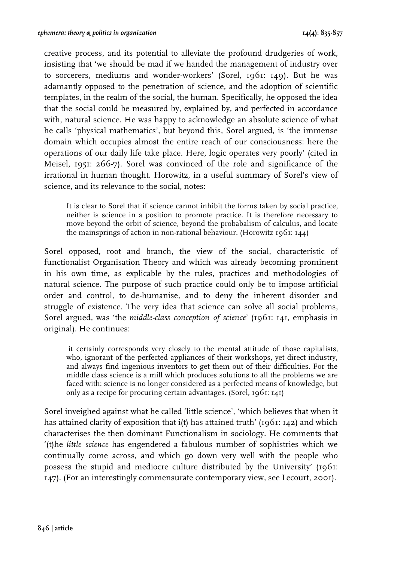creative process, and its potential to alleviate the profound drudgeries of work, insisting that 'we should be mad if we handed the management of industry over to sorcerers, mediums and wonder-workers' (Sorel, 1961: 149). But he was adamantly opposed to the penetration of science, and the adoption of scientific templates, in the realm of the social, the human. Specifically, he opposed the idea that the social could be measured by, explained by, and perfected in accordance with, natural science. He was happy to acknowledge an absolute science of what he calls 'physical mathematics', but beyond this, Sorel argued, is 'the immense domain which occupies almost the entire reach of our consciousness: here the operations of our daily life take place. Here, logic operates very poorly' (cited in Meisel, 1951: 266-7). Sorel was convinced of the role and significance of the irrational in human thought. Horowitz, in a useful summary of Sorel's view of science, and its relevance to the social, notes:

It is clear to Sorel that if science cannot inhibit the forms taken by social practice, neither is science in a position to promote practice. It is therefore necessary to move beyond the orbit of science, beyond the probabalism of calculus, and locate the mainsprings of action in non-rational behaviour. (Horowitz 1961: 144)

Sorel opposed, root and branch, the view of the social, characteristic of functionalist Organisation Theory and which was already becoming prominent in his own time, as explicable by the rules, practices and methodologies of natural science. The purpose of such practice could only be to impose artificial order and control, to de-humanise, and to deny the inherent disorder and struggle of existence. The very idea that science can solve all social problems, Sorel argued, was 'the *middle-class conception of science*' (1961: 141, emphasis in original). He continues:

it certainly corresponds very closely to the mental attitude of those capitalists, who, ignorant of the perfected appliances of their workshops, yet direct industry, and always find ingenious inventors to get them out of their difficulties. For the middle class science is a mill which produces solutions to all the problems we are faced with: science is no longer considered as a perfected means of knowledge, but only as a recipe for procuring certain advantages. (Sorel, 1961: 141)

Sorel inveighed against what he called 'little science', 'which believes that when it has attained clarity of exposition that i(t) has attained truth' (1961: 142) and which characterises the then dominant Functionalism in sociology. He comments that '(t)he *little science* has engendered a fabulous number of sophistries which we continually come across, and which go down very well with the people who possess the stupid and mediocre culture distributed by the University' (1961: 147). (For an interestingly commensurate contemporary view, see Lecourt, 2001).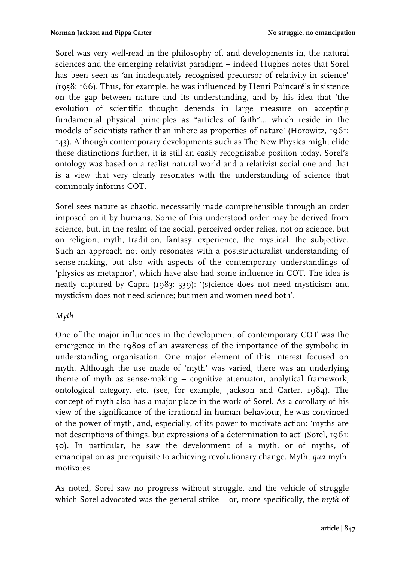Sorel was very well-read in the philosophy of, and developments in, the natural sciences and the emerging relativist paradigm – indeed Hughes notes that Sorel has been seen as 'an inadequately recognised precursor of relativity in science' (1958: 166). Thus, for example, he was influenced by Henri Poincaré's insistence on the gap between nature and its understanding, and by his idea that 'the evolution of scientific thought depends in large measure on accepting fundamental physical principles as "articles of faith"... which reside in the models of scientists rather than inhere as properties of nature' (Horowitz, 1961: 143). Although contemporary developments such as The New Physics might elide these distinctions further, it is still an easily recognisable position today. Sorel's ontology was based on a realist natural world and a relativist social one and that is a view that very clearly resonates with the understanding of science that commonly informs COT.

Sorel sees nature as chaotic, necessarily made comprehensible through an order imposed on it by humans. Some of this understood order may be derived from science, but, in the realm of the social, perceived order relies, not on science, but on religion, myth, tradition, fantasy, experience, the mystical, the subjective. Such an approach not only resonates with a poststructuralist understanding of sense-making, but also with aspects of the contemporary understandings of 'physics as metaphor', which have also had some influence in COT. The idea is neatly captured by Capra (1983: 339): '(s)cience does not need mysticism and mysticism does not need science; but men and women need both'.

#### *Myth*

One of the major influences in the development of contemporary COT was the emergence in the 1980s of an awareness of the importance of the symbolic in understanding organisation. One major element of this interest focused on myth. Although the use made of 'myth' was varied, there was an underlying theme of myth as sense-making – cognitive attenuator, analytical framework, ontological category, etc. (see, for example, Jackson and Carter, 1984). The concept of myth also has a major place in the work of Sorel. As a corollary of his view of the significance of the irrational in human behaviour, he was convinced of the power of myth, and, especially, of its power to motivate action: 'myths are not descriptions of things, but expressions of a determination to act' (Sorel, 1961: 50). In particular, he saw the development of a myth, or of myths, of emancipation as prerequisite to achieving revolutionary change. Myth, *qua* myth, motivates.

As noted, Sorel saw no progress without struggle, and the vehicle of struggle which Sorel advocated was the general strike – or, more specifically, the *myth* of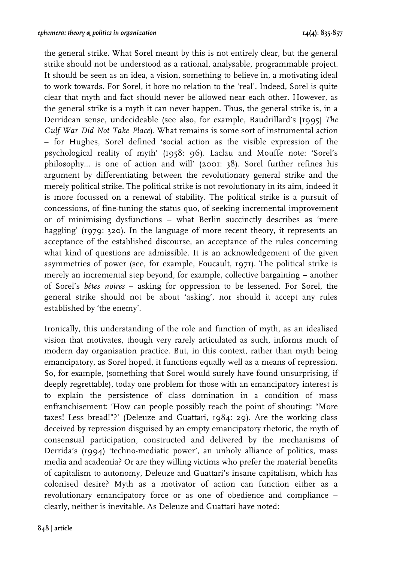the general strike. What Sorel meant by this is not entirely clear, but the general strike should not be understood as a rational, analysable, programmable project. It should be seen as an idea, a vision, something to believe in, a motivating ideal to work towards. For Sorel, it bore no relation to the 'real'. Indeed, Sorel is quite clear that myth and fact should never be allowed near each other. However, as the general strike is a myth it can never happen. Thus, the general strike is, in a Derridean sense, undecideable (see also, for example, Baudrillard's [1995] *The Gulf War Did Not Take Place*). What remains is some sort of instrumental action – for Hughes, Sorel defined 'social action as the visible expression of the psychological reality of myth' (1958: 96). Laclau and Mouffe note: 'Sorel's philosophy... is one of action and will' (2001: 38). Sorel further refines his argument by differentiating between the revolutionary general strike and the merely political strike. The political strike is not revolutionary in its aim, indeed it is more focussed on a renewal of stability. The political strike is a pursuit of concessions, of fine-tuning the status quo, of seeking incremental improvement or of minimising dysfunctions – what Berlin succinctly describes as 'mere haggling' (1979: 320). In the language of more recent theory, it represents an acceptance of the established discourse, an acceptance of the rules concerning what kind of questions are admissible. It is an acknowledgement of the given asymmetries of power (see, for example, Foucault, 1971). The political strike is merely an incremental step beyond, for example, collective bargaining – another of Sorel's *bêtes noires* – asking for oppression to be lessened. For Sorel, the general strike should not be about 'asking', nor should it accept any rules established by 'the enemy'.

Ironically, this understanding of the role and function of myth, as an idealised vision that motivates, though very rarely articulated as such, informs much of modern day organisation practice. But, in this context, rather than myth being emancipatory, as Sorel hoped, it functions equally well as a means of repression. So, for example, (something that Sorel would surely have found unsurprising, if deeply regrettable), today one problem for those with an emancipatory interest is to explain the persistence of class domination in a condition of mass enfranchisement: 'How can people possibly reach the point of shouting: "More taxes! Less bread!"?' (Deleuze and Guattari, 1984: 29). Are the working class deceived by repression disguised by an empty emancipatory rhetoric, the myth of consensual participation, constructed and delivered by the mechanisms of Derrida's (1994) 'techno-mediatic power', an unholy alliance of politics, mass media and academia? Or are they willing victims who prefer the material benefits of capitalism to autonomy, Deleuze and Guattari's insane capitalism, which has colonised desire? Myth as a motivator of action can function either as a revolutionary emancipatory force or as one of obedience and compliance – clearly, neither is inevitable. As Deleuze and Guattari have noted: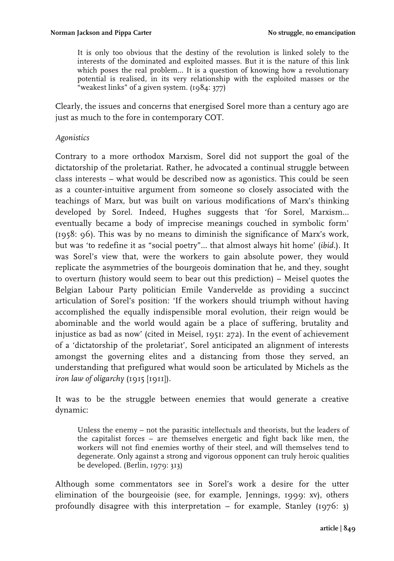It is only too obvious that the destiny of the revolution is linked solely to the interests of the dominated and exploited masses. But it is the nature of this link which poses the real problem... It is a question of knowing how a revolutionary potential is realised, in its very relationship with the exploited masses or the "weakest links" of a given system. (1984: 377)

Clearly, the issues and concerns that energised Sorel more than a century ago are just as much to the fore in contemporary COT.

#### *Agonistics*

Contrary to a more orthodox Marxism, Sorel did not support the goal of the dictatorship of the proletariat. Rather, he advocated a continual struggle between class interests – what would be described now as agonistics. This could be seen as a counter-intuitive argument from someone so closely associated with the teachings of Marx, but was built on various modifications of Marx's thinking developed by Sorel. Indeed, Hughes suggests that 'for Sorel, Marxism... eventually became a body of imprecise meanings couched in symbolic form' (1958: 96). This was by no means to diminish the significance of Marx's work, but was 'to redefine it as "social poetry"... that almost always hit home' (*ibid.*). It was Sorel's view that, were the workers to gain absolute power, they would replicate the asymmetries of the bourgeois domination that he, and they, sought to overturn (history would seem to bear out this prediction) – Meisel quotes the Belgian Labour Party politician Emile Vandervelde as providing a succinct articulation of Sorel's position: 'If the workers should triumph without having accomplished the equally indispensible moral evolution, their reign would be abominable and the world would again be a place of suffering, brutality and injustice as bad as now' (cited in Meisel, 1951: 272). In the event of achievement of a 'dictatorship of the proletariat', Sorel anticipated an alignment of interests amongst the governing elites and a distancing from those they served, an understanding that prefigured what would soon be articulated by Michels as the *iron law of oligarchy* (1915 [1911]).

It was to be the struggle between enemies that would generate a creative dynamic:

Unless the enemy – not the parasitic intellectuals and theorists, but the leaders of the capitalist forces – are themselves energetic and fight back like men, the workers will not find enemies worthy of their steel, and will themselves tend to degenerate. Only against a strong and vigorous opponent can truly heroic qualities be developed. (Berlin, 1979: 313)

Although some commentators see in Sorel's work a desire for the utter elimination of the bourgeoisie (see, for example, Jennings, 1999: xv), others profoundly disagree with this interpretation – for example, Stanley (1976: 3)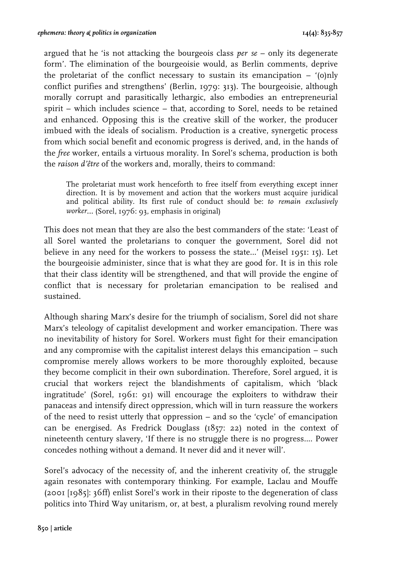argued that he 'is not attacking the bourgeois class *per se* – only its degenerate form'. The elimination of the bourgeoisie would, as Berlin comments, deprive the proletariat of the conflict necessary to sustain its emancipation  $-$  '(o)nly conflict purifies and strengthens' (Berlin, 1979: 313). The bourgeoisie, although morally corrupt and parasitically lethargic, also embodies an entrepreneurial spirit – which includes science – that, according to Sorel, needs to be retained and enhanced. Opposing this is the creative skill of the worker, the producer imbued with the ideals of socialism. Production is a creative, synergetic process from which social benefit and economic progress is derived, and, in the hands of the *free* worker, entails a virtuous morality. In Sorel's schema, production is both the *raison d'être* of the workers and, morally, theirs to command:

The proletariat must work henceforth to free itself from everything except inner direction. It is by movement and action that the workers must acquire juridical and political ability. Its first rule of conduct should be: *to remain exclusively worker*… (Sorel, 1976: 93, emphasis in original)

This does not mean that they are also the best commanders of the state: 'Least of all Sorel wanted the proletarians to conquer the government, Sorel did not believe in any need for the workers to possess the state…' (Meisel 1951: 15). Let the bourgeoisie administer, since that is what they are good for. It is in this role that their class identity will be strengthened, and that will provide the engine of conflict that is necessary for proletarian emancipation to be realised and sustained.

Although sharing Marx's desire for the triumph of socialism, Sorel did not share Marx's teleology of capitalist development and worker emancipation. There was no inevitability of history for Sorel. Workers must fight for their emancipation and any compromise with the capitalist interest delays this emancipation – such compromise merely allows workers to be more thoroughly exploited, because they become complicit in their own subordination. Therefore, Sorel argued, it is crucial that workers reject the blandishments of capitalism, which 'black ingratitude' (Sorel, 1961: 91) will encourage the exploiters to withdraw their panaceas and intensify direct oppression, which will in turn reassure the workers of the need to resist utterly that oppression – and so the 'cycle' of emancipation can be energised. As Fredrick Douglass (1857: 22) noted in the context of nineteenth century slavery, 'If there is no struggle there is no progress.... Power concedes nothing without a demand. It never did and it never will'.

Sorel's advocacy of the necessity of, and the inherent creativity of, the struggle again resonates with contemporary thinking. For example, Laclau and Mouffe (2001 [1985]: 36ff) enlist Sorel's work in their riposte to the degeneration of class politics into Third Way unitarism, or, at best, a pluralism revolving round merely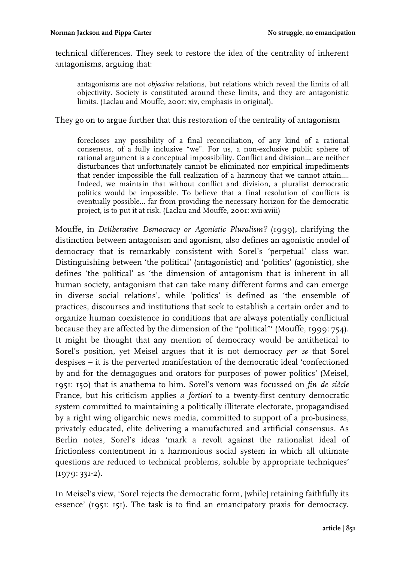technical differences. They seek to restore the idea of the centrality of inherent antagonisms, arguing that:

antagonisms are not *objective* relations, but relations which reveal the limits of all objectivity. Society is constituted around these limits, and they are antagonistic limits. (Laclau and Mouffe, 2001: xiv, emphasis in original).

They go on to argue further that this restoration of the centrality of antagonism

forecloses any possibility of a final reconciliation, of any kind of a rational consensus, of a fully inclusive "we". For us, a non-exclusive public sphere of rational argument is a conceptual impossibility. Conflict and division... are neither disturbances that unfortunately cannot be eliminated nor empirical impediments that render impossible the full realization of a harmony that we cannot attain.... Indeed, we maintain that without conflict and division, a pluralist democratic politics would be impossible. To believe that a final resolution of conflicts is eventually possible... far from providing the necessary horizon for the democratic project, is to put it at risk. (Laclau and Mouffe, 2001: xvii-xviii)

Mouffe, in *Deliberative Democracy or Agonistic Pluralism?* (1999), clarifying the distinction between antagonism and agonism, also defines an agonistic model of democracy that is remarkably consistent with Sorel's 'perpetual' class war. Distinguishing between 'the political' (antagonistic) and 'politics' (agonistic), she defines 'the political' as 'the dimension of antagonism that is inherent in all human society, antagonism that can take many different forms and can emerge in diverse social relations', while 'politics' is defined as 'the ensemble of practices, discourses and institutions that seek to establish a certain order and to organize human coexistence in conditions that are always potentially conflictual because they are affected by the dimension of the "political"' (Mouffe, 1999: 754). It might be thought that any mention of democracy would be antithetical to Sorel's position, yet Meisel argues that it is not democracy *per se* that Sorel despises – it is the perverted manifestation of the democratic ideal 'confectioned by and for the demagogues and orators for purposes of power politics' (Meisel, 1951: 150) that is anathema to him. Sorel's venom was focussed on *fin de siècle* France, but his criticism applies *a fortiori* to a twenty-first century democratic system committed to maintaining a politically illiterate electorate, propagandised by a right wing oligarchic news media, committed to support of a pro-business, privately educated, elite delivering a manufactured and artificial consensus. As Berlin notes, Sorel's ideas 'mark a revolt against the rationalist ideal of frictionless contentment in a harmonious social system in which all ultimate questions are reduced to technical problems, soluble by appropriate techniques' (1979: 331-2).

In Meisel's view, 'Sorel rejects the democratic form, [while] retaining faithfully its essence' (1951: 151). The task is to find an emancipatory praxis for democracy.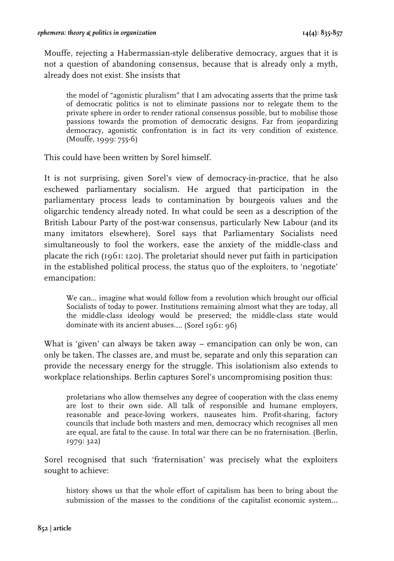Mouffe, rejecting a Habermassian-style deliberative democracy, argues that it is not a question of abandoning consensus, because that is already only a myth, already does not exist. She insists that

the model of "agonistic pluralism" that I am advocating asserts that the prime task of democratic politics is not to eliminate passions nor to relegate them to the private sphere in order to render rational consensus possible, but to mobilise those passions towards the promotion of democratic designs. Far from jeopardizing democracy, agonistic confrontation is in fact its very condition of existence. (Mouffe, 1999: 755-6)

This could have been written by Sorel himself.

It is not surprising, given Sorel's view of democracy-in-practice, that he also eschewed parliamentary socialism. He argued that participation in the parliamentary process leads to contamination by bourgeois values and the oligarchic tendency already noted. In what could be seen as a description of the British Labour Party of the post-war consensus, particularly New Labour (and its many imitators elsewhere), Sorel says that Parliamentary Socialists need simultaneously to fool the workers, ease the anxiety of the middle-class and placate the rich (1961: 120). The proletariat should never put faith in participation in the established political process, the status quo of the exploiters, to 'negotiate' emancipation:

We can... imagine what would follow from a revolution which brought our official Socialists of today to power. Institutions remaining almost what they are today, all the middle-class ideology would be preserved; the middle-class state would dominate with its ancient abuses.… (Sorel 1961: 96)

What is 'given' can always be taken away – emancipation can only be won, can only be taken. The classes are, and must be, separate and only this separation can provide the necessary energy for the struggle. This isolationism also extends to workplace relationships. Berlin captures Sorel's uncompromising position thus:

proletarians who allow themselves any degree of cooperation with the class enemy are lost to their own side. All talk of responsible and humane employers, reasonable and peace-loving workers, nauseates him. Profit-sharing, factory councils that include both masters and men, democracy which recognises all men are equal, are fatal to the cause. In total war there can be no fraternisation. (Berlin, 1979: 322)

Sorel recognised that such 'fraternisation' was precisely what the exploiters sought to achieve:

history shows us that the whole effort of capitalism has been to bring about the submission of the masses to the conditions of the capitalist economic system…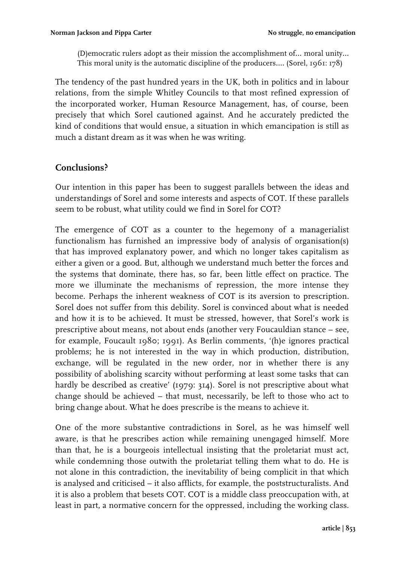(D)emocratic rulers adopt as their mission the accomplishment of… moral unity… This moral unity is the automatic discipline of the producers…. (Sorel, 1961: 178)

The tendency of the past hundred years in the UK, both in politics and in labour relations, from the simple Whitley Councils to that most refined expression of the incorporated worker, Human Resource Management, has, of course, been precisely that which Sorel cautioned against. And he accurately predicted the kind of conditions that would ensue, a situation in which emancipation is still as much a distant dream as it was when he was writing.

# **Conclusions?**

Our intention in this paper has been to suggest parallels between the ideas and understandings of Sorel and some interests and aspects of COT. If these parallels seem to be robust, what utility could we find in Sorel for COT?

The emergence of COT as a counter to the hegemony of a managerialist functionalism has furnished an impressive body of analysis of organisation(s) that has improved explanatory power, and which no longer takes capitalism as either a given or a good. But, although we understand much better the forces and the systems that dominate, there has, so far, been little effect on practice. The more we illuminate the mechanisms of repression, the more intense they become. Perhaps the inherent weakness of COT is its aversion to prescription. Sorel does not suffer from this debility. Sorel is convinced about what is needed and how it is to be achieved. It must be stressed, however, that Sorel's work is prescriptive about means, not about ends (another very Foucauldian stance – see, for example, Foucault 1980; 1991). As Berlin comments, '(h)e ignores practical problems; he is not interested in the way in which production, distribution, exchange, will be regulated in the new order, nor in whether there is any possibility of abolishing scarcity without performing at least some tasks that can hardly be described as creative' (1979: 314). Sorel is not prescriptive about what change should be achieved – that must, necessarily, be left to those who act to bring change about. What he does prescribe is the means to achieve it.

One of the more substantive contradictions in Sorel, as he was himself well aware, is that he prescribes action while remaining unengaged himself. More than that, he is a bourgeois intellectual insisting that the proletariat must act, while condemning those outwith the proletariat telling them what to do. He is not alone in this contradiction, the inevitability of being complicit in that which is analysed and criticised – it also afflicts, for example, the poststructuralists. And it is also a problem that besets COT. COT is a middle class preoccupation with, at least in part, a normative concern for the oppressed, including the working class.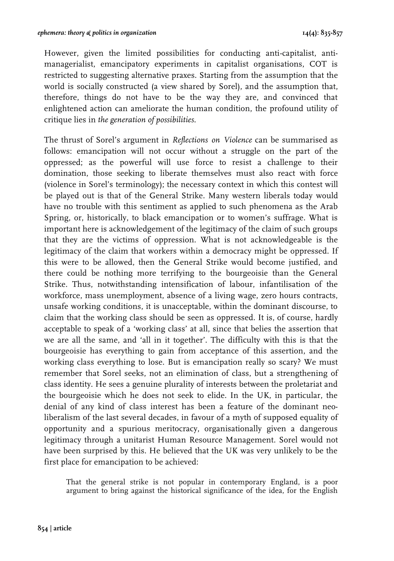However, given the limited possibilities for conducting anti-capitalist, antimanagerialist, emancipatory experiments in capitalist organisations, COT is restricted to suggesting alternative praxes. Starting from the assumption that the world is socially constructed (a view shared by Sorel), and the assumption that, therefore, things do not have to be the way they are, and convinced that enlightened action can ameliorate the human condition, the profound utility of critique lies in *the generation of possibilities*.

The thrust of Sorel's argument in *Reflections on Violence* can be summarised as follows: emancipation will not occur without a struggle on the part of the oppressed; as the powerful will use force to resist a challenge to their domination, those seeking to liberate themselves must also react with force (violence in Sorel's terminology); the necessary context in which this contest will be played out is that of the General Strike. Many western liberals today would have no trouble with this sentiment as applied to such phenomena as the Arab Spring, or, historically, to black emancipation or to women's suffrage. What is important here is acknowledgement of the legitimacy of the claim of such groups that they are the victims of oppression. What is not acknowledgeable is the legitimacy of the claim that workers within a democracy might be oppressed. If this were to be allowed, then the General Strike would become justified, and there could be nothing more terrifying to the bourgeoisie than the General Strike. Thus, notwithstanding intensification of labour, infantilisation of the workforce, mass unemployment, absence of a living wage, zero hours contracts, unsafe working conditions, it is unacceptable, within the dominant discourse, to claim that the working class should be seen as oppressed. It is, of course, hardly acceptable to speak of a 'working class' at all, since that belies the assertion that we are all the same, and 'all in it together'. The difficulty with this is that the bourgeoisie has everything to gain from acceptance of this assertion, and the working class everything to lose. But is emancipation really so scary? We must remember that Sorel seeks, not an elimination of class, but a strengthening of class identity. He sees a genuine plurality of interests between the proletariat and the bourgeoisie which he does not seek to elide. In the UK, in particular, the denial of any kind of class interest has been a feature of the dominant neoliberalism of the last several decades, in favour of a myth of supposed equality of opportunity and a spurious meritocracy, organisationally given a dangerous legitimacy through a unitarist Human Resource Management. Sorel would not have been surprised by this. He believed that the UK was very unlikely to be the first place for emancipation to be achieved:

That the general strike is not popular in contemporary England, is a poor argument to bring against the historical significance of the idea, for the English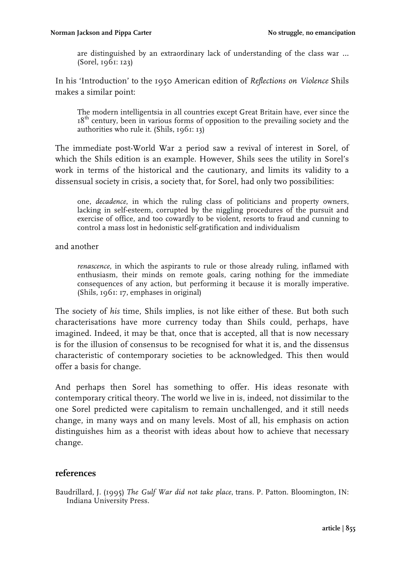are distinguished by an extraordinary lack of understanding of the class war … (Sorel, 1961: 123)

In his 'Introduction' to the 1950 American edition of *Reflections on Violence* Shils makes a similar point:

The modern intelligentsia in all countries except Great Britain have, ever since the 18<sup>th</sup> century, been in various forms of opposition to the prevailing society and the authorities who rule it. (Shils, 1961: 13)

The immediate post-World War 2 period saw a revival of interest in Sorel, of which the Shils edition is an example. However, Shils sees the utility in Sorel's work in terms of the historical and the cautionary, and limits its validity to a dissensual society in crisis, a society that, for Sorel, had only two possibilities:

one, *decadence*, in which the ruling class of politicians and property owners, lacking in self-esteem, corrupted by the niggling procedures of the pursuit and exercise of office, and too cowardly to be violent, resorts to fraud and cunning to control a mass lost in hedonistic self-gratification and individualism

and another

*renascence*, in which the aspirants to rule or those already ruling, inflamed with enthusiasm, their minds on remote goals, caring nothing for the immediate consequences of any action, but performing it because it is morally imperative. (Shils, 1961: 17, emphases in original)

The society of *his* time, Shils implies, is not like either of these. But both such characterisations have more currency today than Shils could, perhaps, have imagined. Indeed, it may be that, once that is accepted, all that is now necessary is for the illusion of consensus to be recognised for what it is, and the dissensus characteristic of contemporary societies to be acknowledged. This then would offer a basis for change.

And perhaps then Sorel has something to offer. His ideas resonate with contemporary critical theory. The world we live in is, indeed, not dissimilar to the one Sorel predicted were capitalism to remain unchallenged, and it still needs change, in many ways and on many levels. Most of all, his emphasis on action distinguishes him as a theorist with ideas about how to achieve that necessary change.

#### **references**

Baudrillard, J. (1995) *The Gulf War did not take place*, trans. P. Patton. Bloomington, IN: Indiana University Press.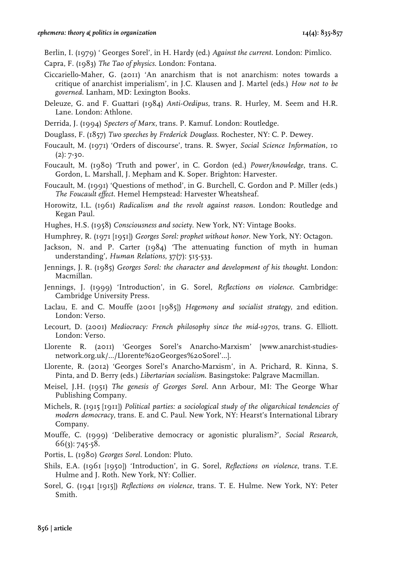Berlin, I. (1979) ' Georges Sorel', in H. Hardy (ed.) *Against the current*. London: Pimlico.

- Capra, F. (1983) *The Tao of physics*. London: Fontana.
- Ciccariello-Maher, G. (2011) 'An anarchism that is not anarchism: notes towards a critique of anarchist imperialism', in J.C. Klausen and J. Martel (eds.) *How not to be governed*. Lanham, MD: Lexington Books.
- Deleuze, G. and F. Guattari (1984) *Anti-Oedipus*, trans. R. Hurley, M. Seem and H.R. Lane. London: Athlone.
- Derrida, J. (1994) *Specters of Marx*, trans. P. Kamuf. London: Routledge.
- Douglass, F. (1857) *Two speeches by Frederick Douglass*. Rochester, NY: C. P. Dewey.
- Foucault, M. (1971) 'Orders of discourse', trans. R. Swyer, *Social Science Information*, 10  $(2): 7-30.$
- Foucault, M. (1980) 'Truth and power', in C. Gordon (ed.) *Power/knowledge*, trans. C. Gordon, L. Marshall, J. Mepham and K. Soper. Brighton: Harvester.
- Foucault, M. (1991) 'Questions of method', in G. Burchell, C. Gordon and P. Miller (eds.) *The Foucault effect*. Hemel Hempstead: Harvester Wheatsheaf.
- Horowitz, I.L. (1961) *Radicalism and the revolt against reason*. London: Routledge and Kegan Paul.
- Hughes, H.S. (1958) *Consciousness and society*. New York, NY: Vintage Books.
- Humphrey, R. (1971 [1951]) *Georges Sorel: prophet without honor*. New York, NY: Octagon.
- Jackson, N. and P. Carter (1984) 'The attenuating function of myth in human understanding', *Human Relations*, 37(7): 515-533.
- Jennings, J. R. (1985) *Georges Sorel: the character and development of his thought*. London: Macmillan.
- Jennings, J. (1999) 'Introduction', in G. Sorel, *Reflections on violence*. Cambridge: Cambridge University Press.
- Laclau, E. and C. Mouffe (2001 [1985]) *Hegemony and socialist strategy*, 2nd edition. London: Verso.
- Lecourt, D. (2001) *Mediocracy: French philosophy since the mid-1970s*, trans. G. Elliott. London: Verso.
- Llorente R. (2011) 'Georges Sorel's Anarcho-Marxism' [www.anarchist-studiesnetwork.org.uk/.../Llorente%20Georges%20Sorel'...].
- Llorente, R. (2012) 'Georges Sorel's Anarcho-Marxism', in A. Prichard, R. Kinna, S. Pinta, and D. Berry (eds.) *Libertarian socialism*. Basingstoke: Palgrave Macmillan.
- Meisel, J.H. (1951) *The genesis of Georges Sorel*. Ann Arbour, MI: The George Whar Publishing Company.
- Michels, R. (1915 [1911]) *Political parties: a sociological study of the oligarchical tendencies of modern democracy*, trans. E. and C. Paul. New York, NY: Hearst's International Library Company.
- Mouffe, C. (1999) 'Deliberative democracy or agonistic pluralism?', *Social Research*, 66(3): 745-58.
- Portis, L. (1980) *Georges Sorel*. London: Pluto.
- Shils, E.A. (1961 [1950]) 'Introduction', in G. Sorel, *Reflections on violence*, trans. T.E. Hulme and J. Roth. New York, NY: Collier.
- Sorel, G. (1941 [1915]) *Reflections on violence*, trans. T. E. Hulme. New York, NY: Peter Smith.